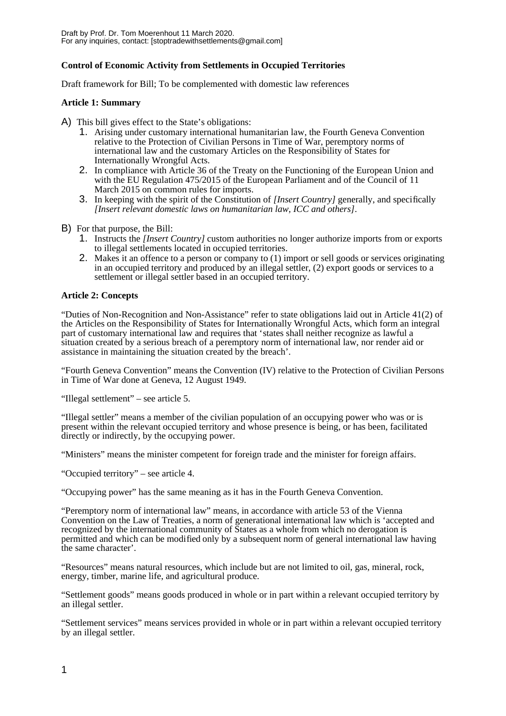# **Control of Economic Activity from Settlements in Occupied Territories**

Draft framework for Bill; To be complemented with domestic law references

# **Article 1: Summary**

- A) This bill gives effect to the State's obligations:
	- 1. Arising under customary international humanitarian law, the Fourth Geneva Convention relative to the Protection of Civilian Persons in Time of War, peremptory norms of international law and the customary Articles on the Responsibility of States for Internationally Wrongful Acts.
	- 2. In compliance with Article 36 of the Treaty on the Functioning of the European Union and with the EU Regulation 475/2015 of the European Parliament and of the Council of 11 March 2015 on common rules for imports.
	- 3. In keeping with the spirit of the Constitution of *[Insert Country]* generally, and specifically *[Insert relevant domestic laws on humanitarian law, ICC and others]*.
- B) For that purpose, the Bill:
	- 1. Instructs the *[Insert Country]* custom authorities no longer authorize imports from or exports to illegal settlements located in occupied territories.
	- 2. Makes it an offence to a person or company to (1) import or sell goods or services originating in an occupied territory and produced by an illegal settler, (2) export goods or services to a settlement or illegal settler based in an occupied territory.

## **Article 2: Concepts**

"Duties of Non-Recognition and Non-Assistance" refer to state obligations laid out in Article 41(2) of the Articles on the Responsibility of States for Internationally Wrongful Acts, which form an integral part of customary international law and requires that 'states shall neither recognize as lawful a situation created by a serious breach of a peremptory norm of international law, nor render aid or assistance in maintaining the situation created by the breach'.

"Fourth Geneva Convention" means the Convention (IV) relative to the Protection of Civilian Persons in Time of War done at Geneva, 12 August 1949.

"Illegal settlement" – see article 5.

"Illegal settler" means a member of the civilian population of an occupying power who was or is present within the relevant occupied territory and whose presence is being, or has been, facilitated directly or indirectly, by the occupying power.

"Ministers" means the minister competent for foreign trade and the minister for foreign affairs.

"Occupied territory" – see article 4.

"Occupying power" has the same meaning as it has in the Fourth Geneva Convention.

"Peremptory norm of international law" means, in accordance with article 53 of the Vienna Convention on the Law of Treaties, a norm of generational international law which is 'accepted and recognized by the international community of States as a whole from which no derogation is permitted and which can be modified only by a subsequent norm of general international law having the same character'.

"Resources" means natural resources, which include but are not limited to oil, gas, mineral, rock, energy, timber, marine life, and agricultural produce.

"Settlement goods" means goods produced in whole or in part within a relevant occupied territory by an illegal settler.

"Settlement services" means services provided in whole or in part within a relevant occupied territory by an illegal settler.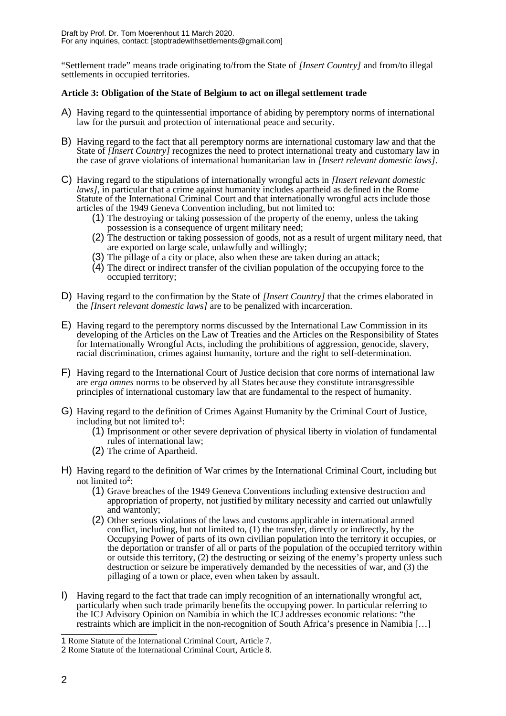"Settlement trade" means trade originating to/from the State of *[Insert Country]* and from/to illegal settlements in occupied territories.

# **Article 3: Obligation of the State of Belgium to act on illegal settlement trade**

- A) Having regard to the quintessential importance of abiding by peremptory norms of international law for the pursuit and protection of international peace and security.
- B) Having regard to the fact that all peremptory norms are international customary law and that the State of *[Insert Country]* recognizes the need to protect international treaty and customary law in the case of grave violations of international humanitarian law in *[Insert relevant domestic laws]*.
- C) Having regard to the stipulations of internationally wrongful acts in *[Insert relevant domestic laws]*, in particular that a crime against humanity includes apartheid as defined in the Rome Statute of the International Criminal Court and that internationally wrongful acts include those articles of the 1949 Geneva Convention including, but not limited to:
	- (1) The destroying or taking possession of the property of the enemy, unless the taking possession is a consequence of urgent military need;
	- (2) The destruction or taking possession of goods, not as a result of urgent military need, that are exported on large scale, unlawfully and willingly;
	- (3) The pillage of a city or place, also when these are taken during an attack;
	- (4) The direct or indirect transfer of the civilian population of the occupying force to the occupied territory;
- D) Having regard to the confirmation by the State of *[Insert Country]* that the crimes elaborated in the *[Insert relevant domestic laws]* are to be penalized with incarceration.
- E) Having regard to the peremptory norms discussed by the International Law Commission in its developing of the Articles on the Law of Treaties and the Articles on the Responsibility of States for Internationally Wrongful Acts, including the prohibitions of aggression, genocide, slavery, racial discrimination, crimes against humanity, torture and the right to self-determination.
- F) Having regard to the International Court of Justice decision that core norms of international law are *erga omnes* norms to be observed by all States because they constitute intransgressible principles of international customary law that are fundamental to the respect of humanity.
- G) Having regard to the definition of Crimes Against Humanity by the Criminal Court of Justice, including but not limited to<sup>[1](#page-1-0)</sup>:
	- (1) Imprisonment or other severe deprivation of physical liberty in violation of fundamental rules of international law;
	- (2) The crime of Apartheid.
- H) Having regard to the definition of War crimes by the International Criminal Court, including but not limited to<sup>[2](#page-1-1)</sup>:
	- (1) Grave breaches of the 1949 Geneva Conventions including extensive destruction and appropriation of property, not justified by military necessity and carried out unlawfully and wantonly;
	- (2) Other serious violations of the laws and customs applicable in international armed conflict, including, but not limited to, (1) the transfer, directly or indirectly, by the Occupying Power of parts of its own civilian population into the territory it occupies, or the deportation or transfer of all or parts of the population of the occupied territory within or outside this territory, (2) the destructing or seizing of the enemy's property unless such destruction or seizure be imperatively demanded by the necessities of war, and (3) the pillaging of a town or place, even when taken by assault.
- I) Having regard to the fact that trade can imply recognition of an internationally wrongful act, particularly when such trade primarily benefits the occupying power. In particular referring to the ICJ Advisory Opinion on Namibia in which the ICJ addresses economic relations: "the restraints which are implicit in the non-recognition of South Africa's presence in Namibia […]

<span id="page-1-0"></span><sup>1</sup> Rome Statute of the International Criminal Court, Article 7.

<span id="page-1-1"></span><sup>2</sup> Rome Statute of the International Criminal Court, Article 8.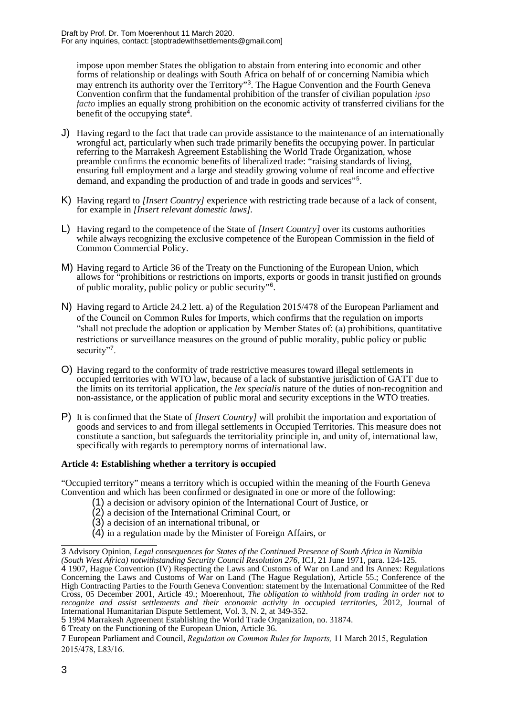impose upon member States the obligation to abstain from entering into economic and other forms of relationship or dealings with South Africa on behalf of or concerning Namibia which may entrench its authority over the Territory"<sup>[3](#page-2-0)</sup>. The Hague Convention and the Fourth Geneva Convention confirm that the fundamental prohibition of the transfer of civilian population *ipso facto* implies an equally strong prohibition on the economic activity of transferred civilians for the benefit of the occupying state<sup>[4](#page-2-1)</sup>.

- J) Having regard to the fact that trade can provide assistance to the maintenance of an internationally wrongful act, particularly when such trade primarily benefits the occupying power. In particular referring to the Marrakesh Agreement Establishing the World Trade Organization, whose preamble confirms the economic benefits of liberalized trade: "raising standards of living, ensuring full employment and a large and steadily growing volume of real income and effective demand, and expanding the production of and trade in goods and services"[5](#page-2-2) .
- K) Having regard to *[Insert Country]* experience with restricting trade because of a lack of consent, for example in *[Insert relevant domestic laws].*
- L) Having regard to the competence of the State of *[Insert Country]* over its customs authorities while always recognizing the exclusive competence of the European Commission in the field of Common Commercial Policy.
- M) Having regard to Article 36 of the Treaty on the Functioning of the European Union, which allows for "prohibitions or restrictions on imports, exports or goods in transit justified on grounds of public morality, public policy or public security"[6](#page-2-3) .
- N) Having regard to Article 24.2 lett. a) of the Regulation 2015/478 of the European Parliament and of the Council on Common Rules for Imports, which confirms that the regulation on imports "shall not preclude the adoption or application by Member States of: (a) prohibitions, quantitative restrictions or surveillance measures on the ground of public morality, public policy or public security"<sup>[7](#page-2-4)</sup>.
- O) Having regard to the conformity of trade restrictive measures toward illegal settlements in occupied territories with WTO law, because of a lack of substantive jurisdiction of GATT due to the limits on its territorial application, the *lex specialis* nature of the duties of non-recognition and non-assistance, or the application of public moral and security exceptions in the WTO treaties.
- P) It is confirmed that the State of *[Insert Country]* will prohibit the importation and exportation of goods and services to and from illegal settlements in Occupied Territories. This measure does not constitute a sanction, but safeguards the territoriality principle in, and unity of, international law, specifically with regards to peremptory norms of international law.

## **Article 4: Establishing whether a territory is occupied**

"Occupied territory" means a territory which is occupied within the meaning of the Fourth Geneva Convention and which has been confirmed or designated in one or more of the following:

- (1) a decision or advisory opinion of the International Court of Justice, or
	- (2) a decision of the International Criminal Court, or
	- (3) a decision of an international tribunal, or
	- (4) in a regulation made by the Minister of Foreign Affairs, or

<span id="page-2-1"></span><span id="page-2-0"></span><sup>3</sup> Advisory Opinion, *Legal consequences for States of the Continued Presence of South Africa in Namibia (South West Africa) notwithstanding Security Council Resolution 276,* ICJ, 21 June 1971, para. 124-125. 4 1907, Hague Convention (IV) Respecting the Laws and Customs of War on Land and Its Annex: Regulations Concerning the Laws and Customs of War on Land (The Hague Regulation), Article 55.; Conference of the High Contracting Parties to the Fourth Geneva Convention: statement by the International Committee of the Red Cross, 05 December 2001, Article 49.; Moerenhout, *The obligation to withhold from trading in order not to recognize and assist settlements and their economic activity in occupied territories,* 2012, Journal of International Humanitarian Dispute Settlement, Vol. 3, N. 2, at 349-352.

<span id="page-2-2"></span><sup>5</sup> 1994 Marrakesh Agreement Establishing the World Trade Organization, no. 31874.

<span id="page-2-3"></span><sup>6</sup> Treaty on the Functioning of the European Union, Article 36.

<span id="page-2-4"></span><sup>7</sup> European Parliament and Council, *Regulation on Common Rules for Imports,* 11 March 2015, Regulation 2015/478, L83/16.